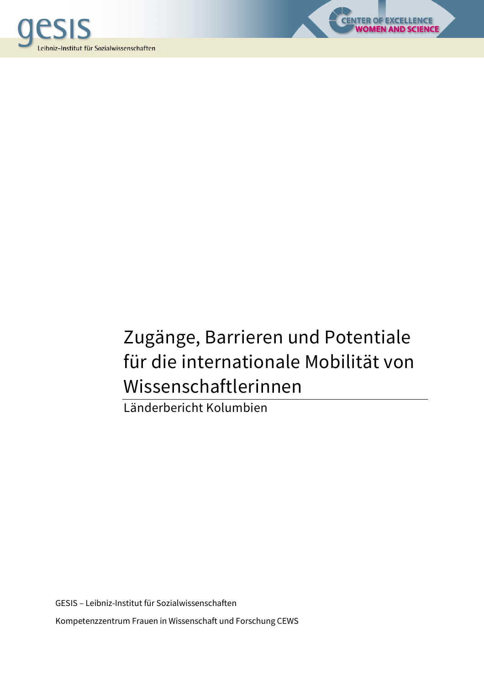



LENCE<br>S<mark>CIENCE</mark>

Länderbericht Kolumbien

GESIS – Leibniz-Institut für Sozialwissenschaften Kompetenzzentrum Frauen in Wissenschaft und Forschung CEWS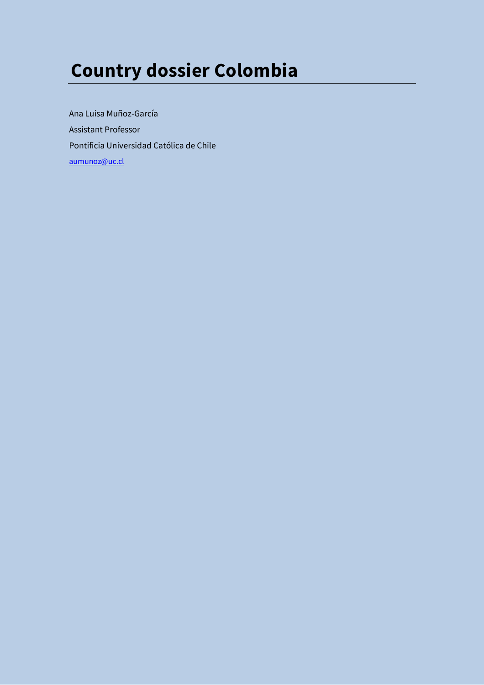# **Country dossier Colombia**

Ana Luisa Muñoz-García Assistant Professor Pontificia Universidad Católica de Chile aumunoz@uc.cl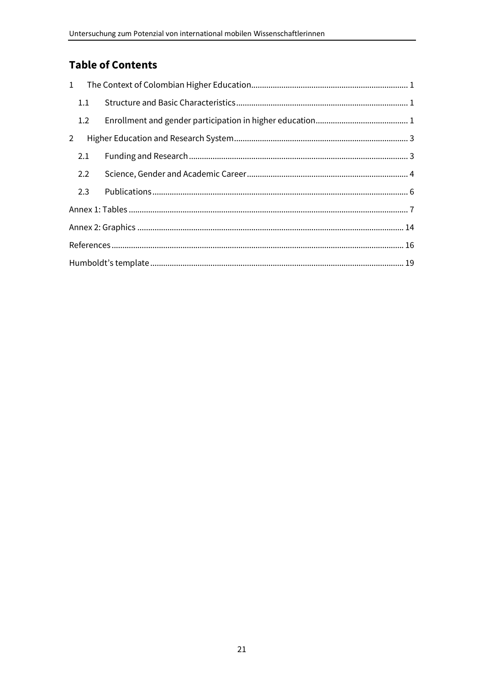# **Table of Contents**

| $\mathbf{1}$   |     |  |  |  |  |  |  |
|----------------|-----|--|--|--|--|--|--|
|                | 1.1 |  |  |  |  |  |  |
|                | 1.2 |  |  |  |  |  |  |
| $\overline{2}$ |     |  |  |  |  |  |  |
|                | 2.1 |  |  |  |  |  |  |
|                | 2.2 |  |  |  |  |  |  |
|                | 2.3 |  |  |  |  |  |  |
|                |     |  |  |  |  |  |  |
|                |     |  |  |  |  |  |  |
|                |     |  |  |  |  |  |  |
|                |     |  |  |  |  |  |  |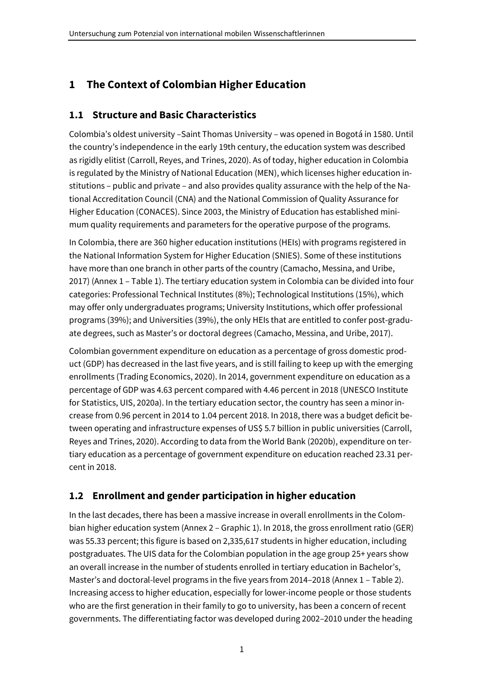## **1 The Context of Colombian Higher Education**

## **1.1 Structure and Basic Characteristics**

Colombia's oldest university –Saint Thomas University – was opened in Bogotá in 1580. Until the country's independence in the early 19th century, the education system was described as rigidly elitist (Carroll, Reyes, and Trines, 2020). As of today, higher education in Colombia is regulated by the Ministry of National Education (MEN), which licenses higher education institutions – public and private – and also provides quality assurance with the help of the National Accreditation Council (CNA) and the National Commission of Quality Assurance for Higher Education (CONACES). Since 2003, the Ministry of Education has established minimum quality requirements and parameters for the operative purpose of the programs.

In Colombia, there are 360 higher education institutions (HEIs) with programs registered in the National Information System for Higher Education (SNIES). Some of these institutions have more than one branch in other parts of the country (Camacho, Messina, and Uribe, 2017) (Annex 1 – Table 1). The tertiary education system in Colombia can be divided into four categories: Professional Technical Institutes (8%); Technological Institutions (15%), which may offer only undergraduates programs; University Institutions, which offer professional programs (39%); and Universities (39%), the only HEIs that are entitled to confer post-graduate degrees, such as Master's or doctoral degrees (Camacho, Messina, and Uribe, 2017).

Colombian government expenditure on education as a percentage of gross domestic product (GDP) has decreased in the last five years, and is still failing to keep up with the emerging enrollments (Trading Economics, 2020). In 2014, government expenditure on education as a percentage of GDP was 4.63 percent compared with 4.46 percent in 2018 (UNESCO Institute for Statistics, UIS, 2020a). In the tertiary education sector, the country has seen a minor increase from 0.96 percent in 2014 to 1.04 percent 2018. In 2018, there was a budget deficit between operating and infrastructure expenses of US\$ 5.7 billion in public universities (Carroll, Reyes and Trines, 2020). According to data from the World Bank (2020b), expenditure on tertiary education as a percentage of government expenditure on education reached 23.31 percent in 2018.

## **1.2 Enrollment and gender participation in higher education**

In the last decades, there has been a massive increase in overall enrollments in the Colombian higher education system (Annex 2 – Graphic 1). In 2018, the gross enrollment ratio (GER) was 55.33 percent; this figure is based on 2,335,617 students in higher education, including postgraduates. The UIS data for the Colombian population in the age group 25+ years show an overall increase in the number of students enrolled in tertiary education in Bachelor's, Master's and doctoral-level programs in the five years from 2014–2018 (Annex 1 – Table 2). Increasing access to higher education, especially for lower-income people or those students who are the first generation in their family to go to university, has been a concern of recent governments. The differentiating factor was developed during 2002–2010 under the heading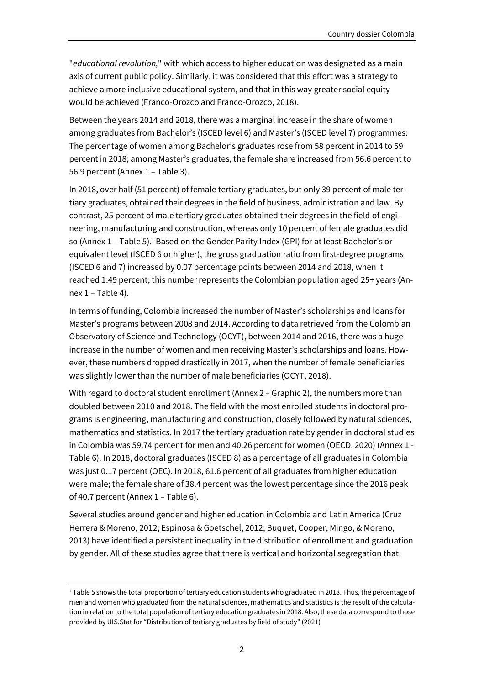"*educational revolution,*" with which access to higher education was designated as a main axis of current public policy. Similarly, it was considered that this effort was a strategy to achieve a more inclusive educational system, and that in this way greater social equity would be achieved (Franco-Orozco and Franco-Orozco, 2018).

Between the years 2014 and 2018, there was a marginal increase in the share of women among graduates from Bachelor's (ISCED level 6) and Master's (ISCED level 7) programmes: The percentage of women among Bachelor's graduates rose from 58 percent in 2014 to 59 percent in 2018; among Master's graduates, the female share increased from 56.6 percent to 56.9 percent (Annex 1 – Table 3).

In 2018, over half (51 percent) of female tertiary graduates, but only 39 percent of male tertiary graduates, obtained their degrees in the field of business, administration and law. By contrast, 25 percent of male tertiary graduates obtained their degrees in the field of engineering, manufacturing and construction, whereas only 10 percent of female graduates did so (Annex  $1$  – Table 5).<sup>1</sup> Based on the Gender Parity Index (GPI) for at least Bachelor's or equivalent level (ISCED 6 or higher), the gross graduation ratio from first-degree programs (ISCED 6 and 7) increased by 0.07 percentage points between 2014 and 2018, when it reached 1.49 percent; this number represents the Colombian population aged 25+ years (Annex  $1 - Table 4$ .

In terms of funding, Colombia increased the number of Master's scholarships and loans for Master's programs between 2008 and 2014. According to data retrieved from the Colombian Observatory of Science and Technology (OCYT), between 2014 and 2016, there was a huge increase in the number of women and men receiving Master's scholarships and loans. However, these numbers dropped drastically in 2017, when the number of female beneficiaries was slightly lower than the number of male beneficiaries (OCYT, 2018).

With regard to doctoral student enrollment (Annex 2 – Graphic 2), the numbers more than doubled between 2010 and 2018. The field with the most enrolled students in doctoral programs is engineering, manufacturing and construction, closely followed by natural sciences, mathematics and statistics. In 2017 the tertiary graduation rate by gender in doctoral studies in Colombia was 59.74 percent for men and 40.26 percent for women (OECD, 2020) (Annex 1 - Table 6). In 2018, doctoral graduates (ISCED 8) as a percentage of all graduates in Colombia was just 0.17 percent (OEC). In 2018, 61.6 percent of all graduates from higher education were male; the female share of 38.4 percent was the lowest percentage since the 2016 peak of 40.7 percent (Annex 1 – Table 6).

Several studies around gender and higher education in Colombia and Latin America (Cruz Herrera & Moreno, 2012; Espinosa & Goetschel, 2012; Buquet, Cooper, Mingo, & Moreno, 2013) have identified a persistent inequality in the distribution of enrollment and graduation by gender. All of these studies agree that there is vertical and horizontal segregation that

<sup>&</sup>lt;sup>1</sup> Table 5 shows the total proportion of tertiary education students who graduated in 2018. Thus, the percentage of men and women who graduated from the natural sciences, mathematics and statistics is the result of the calculation in relation to the total population of tertiary education graduates in 2018. Also, these data correspond to those provided by UIS.Stat for "Distribution of tertiary graduates by field of study" (2021)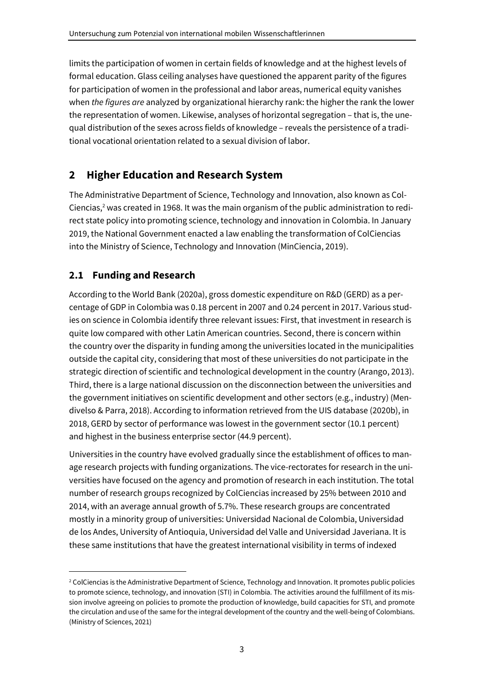limits the participation of women in certain fields of knowledge and at the highest levels of formal education. Glass ceiling analyses have questioned the apparent parity of the figures for participation of women in the professional and labor areas, numerical equity vanishes when *the figures are* analyzed by organizational hierarchy rank: the higher the rank the lower the representation of women. Likewise, analyses of horizontal segregation – that is, the unequal distribution of the sexes across fields of knowledge – reveals the persistence of a traditional vocational orientation related to a sexual division of labor.

# **2 Higher Education and Research System**

The Administrative Department of Science, Technology and Innovation, also known as Col-Ciencias,<sup>2</sup> was created in 1968. It was the main organism of the public administration to redirect state policy into promoting science, technology and innovation in Colombia. In January 2019, the National Government enacted a law enabling the transformation of ColCiencias into the Ministry of Science, Technology and Innovation (MinCiencia, 2019).

## **2.1 Funding and Research**

According to the World Bank (2020a), gross domestic expenditure on R&D (GERD) as a percentage of GDP in Colombia was 0.18 percent in 2007 and 0.24 percent in 2017. Various studies on science in Colombia identify three relevant issues: First, that investment in research is quite low compared with other Latin American countries. Second, there is concern within the country over the disparity in funding among the universities located in the municipalities outside the capital city, considering that most of these universities do not participate in the strategic direction of scientific and technological development in the country (Arango, 2013). Third, there is a large national discussion on the disconnection between the universities and the government initiatives on scientific development and other sectors (e.g., industry) (Mendivelso & Parra, 2018). According to information retrieved from the UIS database (2020b), in 2018, GERD by sector of performance was lowest in the government sector (10.1 percent) and highest in the business enterprise sector (44.9 percent).

Universities in the country have evolved gradually since the establishment of offices to manage research projects with funding organizations. The vice-rectorates for research in the universities have focused on the agency and promotion of research in each institution. The total number of research groups recognized by ColCiencias increased by 25% between 2010 and 2014, with an average annual growth of 5.7%. These research groups are concentrated mostly in a minority group of universities: Universidad Nacional de Colombia, Universidad de los Andes, University of Antioquia, Universidad del Valle and Universidad Javeriana. It is these same institutions that have the greatest international visibility in terms of indexed

<sup>&</sup>lt;sup>2</sup> ColCiencias is the Administrative Department of Science, Technology and Innovation. It promotes public policies to promote science, technology, and innovation (STI) in Colombia. The activities around the fulfillment of its mission involve agreeing on policies to promote the production of knowledge, build capacities for STI, and promote the circulation and use of the same for the integral development of the country and the well-being of Colombians. (Ministry of Sciences, 2021)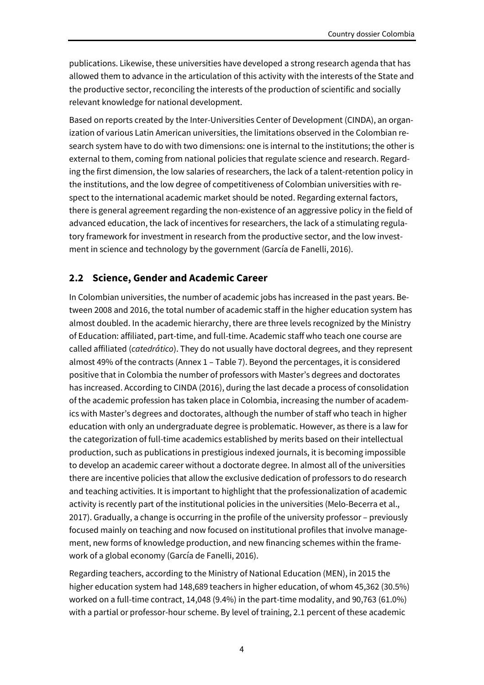publications. Likewise, these universities have developed a strong research agenda that has allowed them to advance in the articulation of this activity with the interests of the State and the productive sector, reconciling the interests of the production of scientific and socially relevant knowledge for national development.

Based on reports created by the Inter-Universities Center of Development (CINDA), an organization of various Latin American universities, the limitations observed in the Colombian research system have to do with two dimensions: one is internal to the institutions; the other is external to them, coming from national policies that regulate science and research. Regarding the first dimension, the low salaries of researchers, the lack of a talent-retention policy in the institutions, and the low degree of competitiveness of Colombian universities with respect to the international academic market should be noted. Regarding external factors, there is general agreement regarding the non-existence of an aggressive policy in the field of advanced education, the lack of incentives for researchers, the lack of a stimulating regulatory framework for investment in research from the productive sector, and the low investment in science and technology by the government (García de Fanelli, 2016).

#### **2.2 Science, Gender and Academic Career**

In Colombian universities, the number of academic jobs has increased in the past years. Between 2008 and 2016, the total number of academic staff in the higher education system has almost doubled. In the academic hierarchy, there are three levels recognized by the Ministry of Education: affiliated, part-time, and full-time. Academic staff who teach one course are called affiliated (*catedrático*). They do not usually have doctoral degrees, and they represent almost 49% of the contracts (Annex 1 – Table 7). Beyond the percentages, it is considered positive that in Colombia the number of professors with Master's degrees and doctorates has increased. According to CINDA (2016), during the last decade a process of consolidation of the academic profession has taken place in Colombia, increasing the number of academics with Master's degrees and doctorates, although the number of staff who teach in higher education with only an undergraduate degree is problematic. However, as there is a law for the categorization of full-time academics established by merits based on their intellectual production, such as publications in prestigious indexed journals, it is becoming impossible to develop an academic career without a doctorate degree. In almost all of the universities there are incentive policies that allow the exclusive dedication of professors to do research and teaching activities. It is important to highlight that the professionalization of academic activity is recently part of the institutional policies in the universities (Melo-Becerra et al., 2017). Gradually, a change is occurring in the profile of the university professor – previously focused mainly on teaching and now focused on institutional profiles that involve management, new forms of knowledge production, and new financing schemes within the framework of a global economy (García de Fanelli, 2016).

Regarding teachers, according to the Ministry of National Education (MEN), in 2015 the higher education system had 148,689 teachers in higher education, of whom 45,362 (30.5%) worked on a full-time contract, 14,048 (9.4%) in the part-time modality, and 90,763 (61.0%) with a partial or professor-hour scheme. By level of training, 2.1 percent of these academic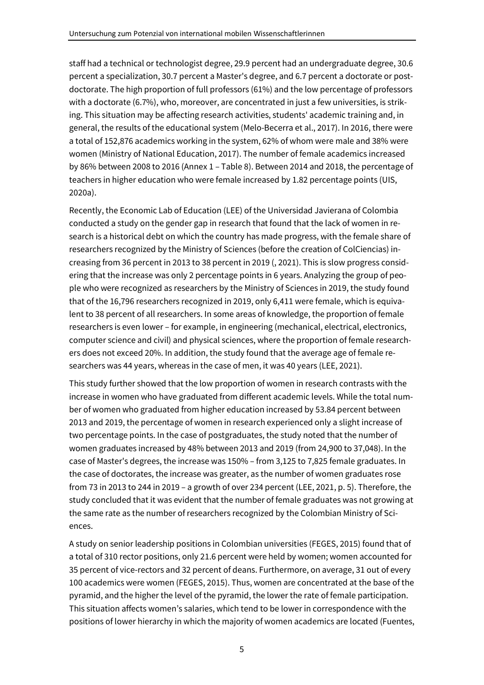staff had a technical or technologist degree, 29.9 percent had an undergraduate degree, 30.6 percent a specialization, 30.7 percent a Master's degree, and 6.7 percent a doctorate or postdoctorate. The high proportion of full professors (61%) and the low percentage of professors with a doctorate (6.7%), who, moreover, are concentrated in just a few universities, is striking. This situation may be affecting research activities, students' academic training and, in general, the results of the educational system (Melo-Becerra et al., 2017). In 2016, there were a total of 152,876 academics working in the system, 62% of whom were male and 38% were women (Ministry of National Education, 2017). The number of female academics increased by 86% between 2008 to 2016 (Annex 1 – Table 8). Between 2014 and 2018, the percentage of teachers in higher education who were female increased by 1.82 percentage points (UIS, 2020a).

Recently, the Economic Lab of Education (LEE) of the Universidad Javierana of Colombia conducted a study on the gender gap in research that found that the lack of women in research is a historical debt on which the country has made progress, with the female share of researchers recognized by the Ministry of Sciences (before the creation of ColCiencias) increasing from 36 percent in 2013 to 38 percent in 2019 (, 2021). This is slow progress considering that the increase was only 2 percentage points in 6 years. Analyzing the group of people who were recognized as researchers by the Ministry of Sciences in 2019, the study found that of the 16,796 researchers recognized in 2019, only 6,411 were female, which is equivalent to 38 percent of all researchers. In some areas of knowledge, the proportion of female researchers is even lower – for example, in engineering (mechanical, electrical, electronics, computer science and civil) and physical sciences, where the proportion of female researchers does not exceed 20%. In addition, the study found that the average age of female researchers was 44 years, whereas in the case of men, it was 40 years (LEE, 2021).

This study further showed that the low proportion of women in research contrasts with the increase in women who have graduated from different academic levels. While the total number of women who graduated from higher education increased by 53.84 percent between 2013 and 2019, the percentage of women in research experienced only a slight increase of two percentage points. In the case of postgraduates, the study noted that the number of women graduates increased by 48% between 2013 and 2019 (from 24,900 to 37,048). In the case of Master's degrees, the increase was 150% – from 3,125 to 7,825 female graduates. In the case of doctorates, the increase was greater, as the number of women graduates rose from 73 in 2013 to 244 in 2019 – a growth of over 234 percent (LEE, 2021, p. 5). Therefore, the study concluded that it was evident that the number of female graduates was not growing at the same rate as the number of researchers recognized by the Colombian Ministry of Sciences.

A study on senior leadership positions in Colombian universities (FEGES, 2015) found that of a total of 310 rector positions, only 21.6 percent were held by women; women accounted for 35 percent of vice-rectors and 32 percent of deans. Furthermore, on average, 31 out of every 100 academics were women (FEGES, 2015). Thus, women are concentrated at the base of the pyramid, and the higher the level of the pyramid, the lower the rate of female participation. This situation affects women's salaries, which tend to be lower in correspondence with the positions of lower hierarchy in which the majority of women academics are located (Fuentes,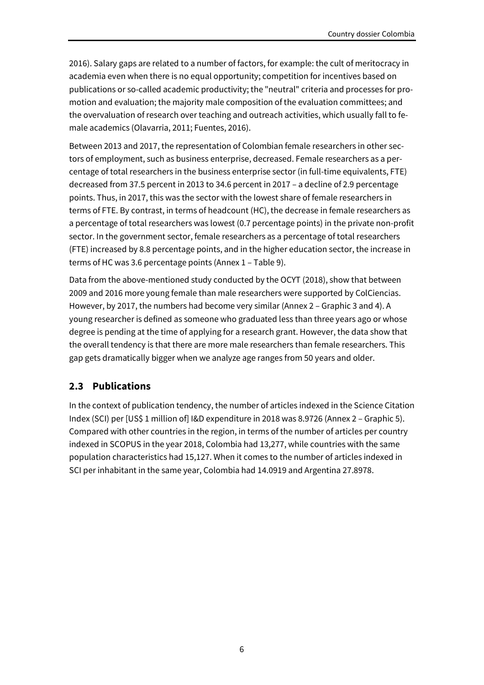2016). Salary gaps are related to a number of factors, for example: the cult of meritocracy in academia even when there is no equal opportunity; competition for incentives based on publications or so-called academic productivity; the "neutral" criteria and processes for promotion and evaluation; the majority male composition of the evaluation committees; and the overvaluation of research over teaching and outreach activities, which usually fall to female academics (Olavarria, 2011; Fuentes, 2016).

Between 2013 and 2017, the representation of Colombian female researchers in other sectors of employment, such as business enterprise, decreased. Female researchers as a percentage of total researchers in the business enterprise sector (in full-time equivalents, FTE) decreased from 37.5 percent in 2013 to 34.6 percent in 2017 – a decline of 2.9 percentage points. Thus, in 2017, this was the sector with the lowest share of female researchers in terms of FTE. By contrast, in terms of headcount (HC), the decrease in female researchers as a percentage of total researchers was lowest (0.7 percentage points) in the private non-profit sector. In the government sector, female researchers as a percentage of total researchers (FTE) increased by 8.8 percentage points, and in the higher education sector, the increase in terms of HC was 3.6 percentage points (Annex 1 – Table 9).

Data from the above-mentioned study conducted by the OCYT (2018), show that between 2009 and 2016 more young female than male researchers were supported by ColCiencias. However, by 2017, the numbers had become very similar (Annex 2 – Graphic 3 and 4). A young researcher is defined as someone who graduated less than three years ago or whose degree is pending at the time of applying for a research grant. However, the data show that the overall tendency is that there are more male researchers than female researchers. This gap gets dramatically bigger when we analyze age ranges from 50 years and older.

## **2.3 Publications**

In the context of publication tendency, the number of articles indexed in the Science Citation Index (SCI) per [US\$ 1 million of] I&D expenditure in 2018 was 8.9726 (Annex 2 – Graphic 5). Compared with other countries in the region, in terms of the number of articles per country indexed in SCOPUS in the year 2018, Colombia had 13,277, while countries with the same population characteristics had 15,127. When it comes to the number of articles indexed in SCI per inhabitant in the same year, Colombia had 14.0919 and Argentina 27.8978.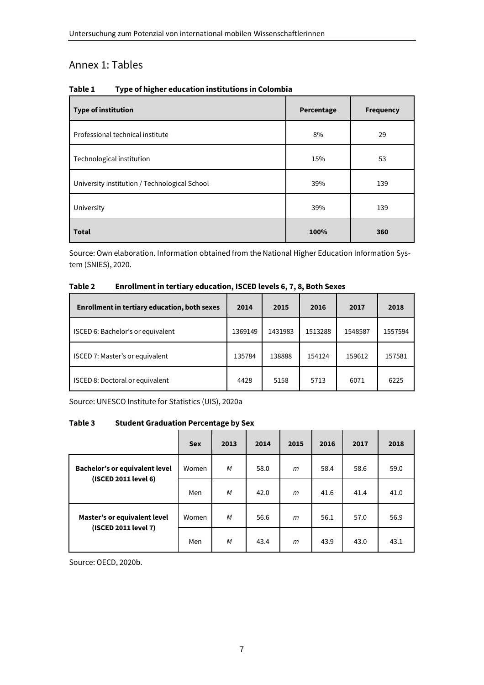## Annex 1: Tables

| Table 1 | Type of higher education institutions in Colombia |  |
|---------|---------------------------------------------------|--|
|---------|---------------------------------------------------|--|

| <b>Type of institution</b>                    | Percentage | <b>Frequency</b> |
|-----------------------------------------------|------------|------------------|
| Professional technical institute              | 8%         | 29               |
| Technological institution                     | 15%        | 53               |
| University institution / Technological School | 39%        | 139              |
| University                                    | 39%        | 139              |
| <b>Total</b>                                  | 100%       | 360              |

Source: Own elaboration. Information obtained from the National Higher Education Information System (SNIES), 2020.

#### **Table 2 Enrollment in tertiary education, ISCED levels 6, 7, 8, Both Sexes**

| <b>Enrollment in tertiary education, both sexes</b> | 2014    | 2015    | 2016    | 2017    | 2018    |
|-----------------------------------------------------|---------|---------|---------|---------|---------|
| ISCED 6: Bachelor's or equivalent                   | 1369149 | 1431983 | 1513288 | 1548587 | 1557594 |
| ISCED 7: Master's or equivalent                     | 135784  | 138888  | 154124  | 159612  | 157581  |
| ISCED 8: Doctoral or equivalent                     | 4428    | 5158    | 5713    | 6071    | 6225    |

Source: UNESCO Institute for Statistics (UIS), 2020a

#### **Table 3 Student Graduation Percentage by Sex**

|                                       | <b>Sex</b> | 2013 | 2014 | 2015 | 2016 | 2017 | 2018 |
|---------------------------------------|------------|------|------|------|------|------|------|
| <b>Bachelor's or equivalent level</b> | Women      | M    | 58.0 | m    | 58.4 | 58.6 | 59.0 |
| (ISCED 2011 level 6)                  | Men        | M    | 42.0 | m    | 41.6 | 41.4 | 41.0 |
| Master's or equivalent level          | Women      | M    | 56.6 | m    | 56.1 | 57.0 | 56.9 |
| (ISCED 2011 level 7)                  | Men        | M    | 43.4 | m    | 43.9 | 43.0 | 43.1 |

Source: OECD, 2020b.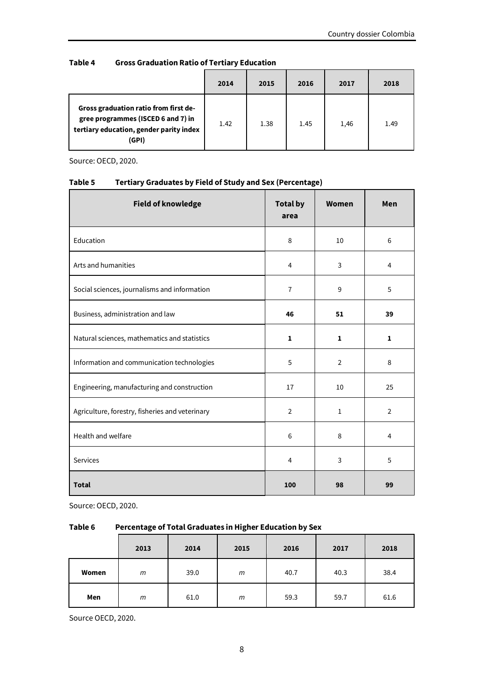#### **Table 4 Gross Graduation Ratio of Tertiary Education**

|                                                                                                                                 | 2014 | 2015 | 2016 | 2017 | 2018 |
|---------------------------------------------------------------------------------------------------------------------------------|------|------|------|------|------|
| Gross graduation ratio from first de-<br>gree programmes (ISCED 6 and 7) in<br>tertiary education, gender parity index<br>(GPI) | 1.42 | 1.38 | 1.45 | 1,46 | 1.49 |

Source: OECD, 2020.

| <b>Field of knowledge</b>                       | <b>Total by</b><br>area | Women          | Men            |
|-------------------------------------------------|-------------------------|----------------|----------------|
| Education                                       | 8                       | 10             | 6              |
| Arts and humanities                             | 4                       | 3              | $\overline{4}$ |
| Social sciences, journalisms and information    | $\overline{7}$          | 9              | 5              |
| Business, administration and law                | 46                      | 51             | 39             |
| Natural sciences, mathematics and statistics    | $\mathbf{1}$            | $\mathbf{1}$   | $\mathbf{1}$   |
| Information and communication technologies      | 5                       | $\overline{2}$ | 8              |
| Engineering, manufacturing and construction     | 17                      | 10             | 25             |
| Agriculture, forestry, fisheries and veterinary | $\overline{2}$          | $\mathbf{1}$   | $\overline{2}$ |
| Health and welfare                              | 6                       | 8              | $\overline{4}$ |
| Services                                        | $\overline{4}$          | 3              | 5              |
| <b>Total</b>                                    | 100                     | 98             | 99             |

#### **Table 5 Tertiary Graduates by Field of Study and Sex (Percentage)**

Source: OECD, 2020.

#### **Table 6 Percentage of Total Graduates in Higher Education by Sex**

|       | 2013 | 2014 | 2015 | 2016 | 2017 | 2018 |
|-------|------|------|------|------|------|------|
| Women | m    | 39.0 | m    | 40.7 | 40.3 | 38.4 |
| Men   | m    | 61.0 | m    | 59.3 | 59.7 | 61.6 |

Source OECD, 2020.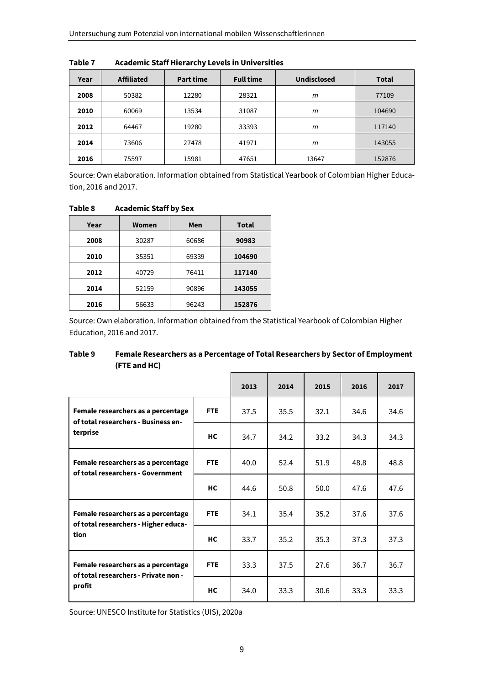| Year | <b>Affiliated</b> | <b>Part time</b> | <b>Full time</b> | <b>Undisclosed</b> | <b>Total</b> |
|------|-------------------|------------------|------------------|--------------------|--------------|
| 2008 | 50382             | 12280            | 28321            | m                  | 77109        |
| 2010 | 60069             | 13534            | 31087            | m                  | 104690       |
| 2012 | 64467             | 19280            | 33393            | m                  | 117140       |
| 2014 | 73606             | 27478            | 41971            | m                  | 143055       |
| 2016 | 75597             | 15981            | 47651            | 13647              | 152876       |

**Table 7 Academic Staff Hierarchy Levels in Universities** 

Source: Own elaboration. Information obtained from Statistical Yearbook of Colombian Higher Education, 2016 and 2017.

**Table 8 Academic Staff by Sex** 

| Year | Women | Men   | <b>Total</b> |
|------|-------|-------|--------------|
| 2008 | 30287 | 60686 | 90983        |
| 2010 | 35351 | 69339 | 104690       |
| 2012 | 40729 | 76411 | 117140       |
| 2014 | 52159 | 90896 | 143055       |
| 2016 | 56633 | 96243 | 152876       |

Source: Own elaboration. Information obtained from the Statistical Yearbook of Colombian Higher Education, 2016 and 2017.

#### **Table 9 Female Researchers as a Percentage of Total Researchers by Sector of Employment (FTE and HC)**

|                                                                            |            | 2013 | 2014 | 2015 | 2016 | 2017 |
|----------------------------------------------------------------------------|------------|------|------|------|------|------|
| Female researchers as a percentage<br>of total researchers - Business en-  | <b>FTE</b> | 37.5 | 35.5 | 32.1 | 34.6 | 34.6 |
| terprise                                                                   | <b>HC</b>  | 34.7 | 34.2 | 33.2 | 34.3 | 34.3 |
| Female researchers as a percentage<br>of total researchers - Government    | <b>FTE</b> | 40.0 | 52.4 | 51.9 | 48.8 | 48.8 |
|                                                                            | <b>HC</b>  | 44.6 | 50.8 | 50.0 | 47.6 | 47.6 |
| Female researchers as a percentage<br>of total researchers - Higher educa- | <b>FTE</b> | 34.1 | 35.4 | 35.2 | 37.6 | 37.6 |
| tion                                                                       | <b>HC</b>  | 33.7 | 35.2 | 35.3 | 37.3 | 37.3 |
| Female researchers as a percentage<br>of total researchers - Private non - | <b>FTE</b> | 33.3 | 37.5 | 27.6 | 36.7 | 36.7 |
| profit                                                                     | <b>HC</b>  | 34.0 | 33.3 | 30.6 | 33.3 | 33.3 |

Source: UNESCO Institute for Statistics (UIS), 2020a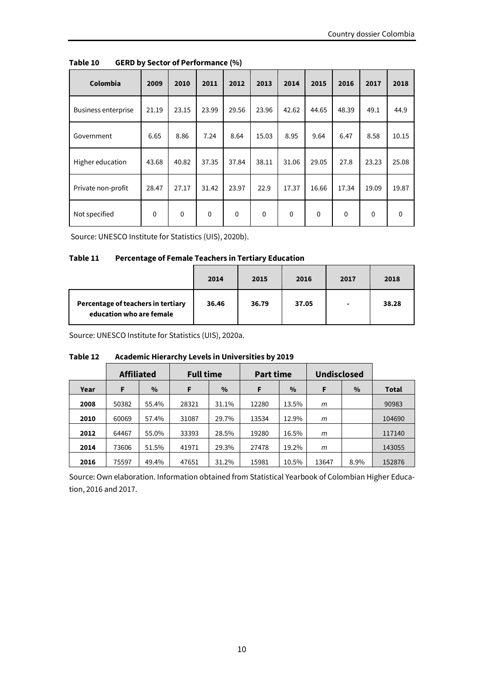| Colombia                   | 2009        | 2010        | 2011        | 2012        | 2013        | 2014  | 2015        | 2016     | 2017     | 2018        |
|----------------------------|-------------|-------------|-------------|-------------|-------------|-------|-------------|----------|----------|-------------|
| <b>Business enterprise</b> | 21.19       | 23.15       | 23.99       | 29.56       | 23.96       | 42.62 | 44.65       | 48.39    | 49.1     | 44.9        |
| Government                 | 6.65        | 8.86        | 7.24        | 8.64        | 15.03       | 8.95  | 9.64        | 6.47     | 8.58     | 10.15       |
| Higher education           | 43.68       | 40.82       | 37.35       | 37.84       | 38.11       | 31.06 | 29.05       | 27.8     | 23.23    | 25.08       |
| Private non-profit         | 28.47       | 27.17       | 31.42       | 23.97       | 22.9        | 17.37 | 16.66       | 17.34    | 19.09    | 19.87       |
| Not specified              | $\mathbf 0$ | $\mathbf 0$ | $\mathbf 0$ | $\mathbf 0$ | $\mathbf 0$ | 0     | $\mathbf 0$ | $\Omega$ | $\Omega$ | $\mathbf 0$ |

**Table 10 GERD by Sector of Performance (%)** 

Source: UNESCO Institute for Statistics (UIS), 2020b).

#### **Table 11 Percentage of Female Teachers in Tertiary Education**

|                                                                | 2014  | 2015  | 2016  | 2017 | 2018  |
|----------------------------------------------------------------|-------|-------|-------|------|-------|
| Percentage of teachers in tertiary<br>education who are female | 36.46 | 36.79 | 37.05 |      | 38.28 |

Source: UNESCO Institute for Statistics (UIS), 2020a.

|      | <b>Affiliated</b> |       | <b>Full time</b> |       | <b>Part time</b> |       | <b>Undisclosed</b> |      |              |
|------|-------------------|-------|------------------|-------|------------------|-------|--------------------|------|--------------|
| Year | F                 | $\%$  | $\%$<br>F        |       | F<br>$\%$        |       | $\%$<br>F          |      | <b>Total</b> |
| 2008 | 50382             | 55.4% | 28321            | 31.1% | 12280            | 13.5% | m                  |      | 90983        |
| 2010 | 60069             | 57.4% | 31087            | 29.7% | 13534            | 12.9% | m                  |      | 104690       |
| 2012 | 64467             | 55.0% | 33393            | 28.5% | 19280            | 16.5% | m                  |      | 117140       |
| 2014 | 73606             | 51.5% | 41971            | 29.3% | 27478            | 19.2% | m                  |      | 143055       |
| 2016 | 75597             | 49.4% | 47651            | 31.2% | 15981            | 10.5% | 13647              | 8.9% | 152876       |

#### **Table 12 Academic Hierarchy Levels in Universities by 2019**

Source: Own elaboration. Information obtained from Statistical Yearbook of Colombian Higher Education, 2016 and 2017.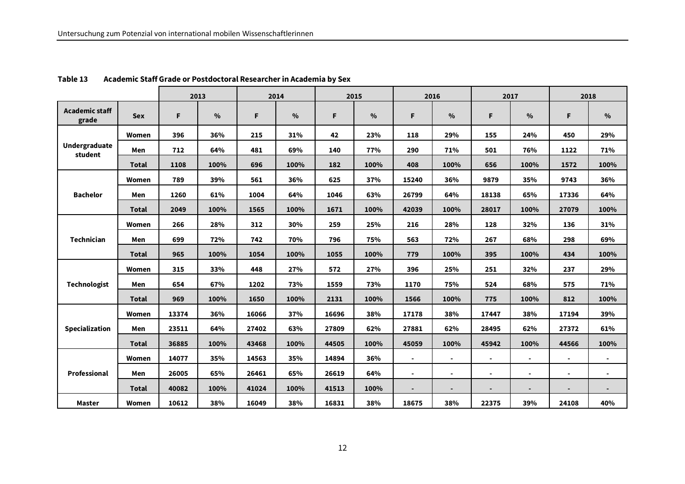|                                 |              | 2013  |               | 2014  |               | 2015  |               | 2016           |               | 2017           |                | 2018  |                |
|---------------------------------|--------------|-------|---------------|-------|---------------|-------|---------------|----------------|---------------|----------------|----------------|-------|----------------|
| <b>Academic staff</b><br>grade  | <b>Sex</b>   | F.    | $\frac{0}{0}$ | F     | $\frac{0}{0}$ | F.    | $\frac{0}{0}$ | F              | $\frac{0}{0}$ | F.             | %              | F     | $\frac{0}{0}$  |
|                                 | Women        | 396   | 36%           | 215   | 31%           | 42    | 23%           | 118            | 29%           | 155            | 24%            | 450   | 29%            |
| <b>Undergraduate</b><br>student | Men          | 712   | 64%           | 481   | 69%           | 140   | 77%           | 290            | 71%           | 501            | 76%            | 1122  | 71%            |
|                                 | <b>Total</b> | 1108  | 100%          | 696   | 100%          | 182   | 100%          | 408            | 100%          | 656            | 100%           | 1572  | 100%           |
|                                 | Women        | 789   | 39%           | 561   | 36%           | 625   | 37%           | 15240          | 36%           | 9879           | 35%            | 9743  | 36%            |
| <b>Bachelor</b>                 | Men          | 1260  | 61%           | 1004  | 64%           | 1046  | 63%           | 26799          | 64%           | 18138          | 65%            | 17336 | 64%            |
|                                 | <b>Total</b> | 2049  | 100%          | 1565  | 100%          | 1671  | 100%          | 42039          | 100%          | 28017          | 100%           | 27079 | 100%           |
|                                 | Women        | 266   | 28%           | 312   | 30%           | 259   | 25%           | 216            | 28%           | 128            | 32%            | 136   | 31%            |
| <b>Technician</b>               | Men          | 699   | 72%           | 742   | 70%           | 796   | 75%           | 563            | 72%           | 267            | 68%            | 298   | 69%            |
|                                 | <b>Total</b> | 965   | 100%          | 1054  | 100%          | 1055  | 100%          | 779            | 100%          | 395            | 100%           | 434   | 100%           |
|                                 | Women        | 315   | 33%           | 448   | 27%           | 572   | 27%           | 396            | 25%           | 251            | 32%            | 237   | 29%            |
| <b>Technologist</b>             | Men          | 654   | 67%           | 1202  | 73%           | 1559  | 73%           | 1170           | 75%           | 524            | 68%            | 575   | 71%            |
|                                 | <b>Total</b> | 969   | 100%          | 1650  | 100%          | 2131  | 100%          | 1566           | 100%          | 775            | 100%           | 812   | 100%           |
|                                 | Women        | 13374 | 36%           | 16066 | 37%           | 16696 | 38%           | 17178          | 38%           | 17447          | 38%            | 17194 | 39%            |
| Specialization                  | Men          | 23511 | 64%           | 27402 | 63%           | 27809 | 62%           | 27881          | 62%           | 28495          | 62%            | 27372 | 61%            |
|                                 | <b>Total</b> | 36885 | 100%          | 43468 | 100%          | 44505 | 100%          | 45059          | 100%          | 45942          | 100%           | 44566 | 100%           |
| Professional                    | Women        | 14077 | 35%           | 14563 | 35%           | 14894 | 36%           | $\blacksquare$ | $\sim$        | $\blacksquare$ | $\blacksquare$ |       | ٠              |
|                                 | Men          | 26005 | 65%           | 26461 | 65%           | 26619 | 64%           | ۰              |               | $\blacksquare$ |                | ۰     | $\blacksquare$ |
|                                 | <b>Total</b> | 40082 | 100%          | 41024 | 100%          | 41513 | 100%          |                |               |                |                |       |                |
| <b>Master</b>                   | Women        | 10612 | 38%           | 16049 | 38%           | 16831 | 38%           | 18675          | 38%           | 22375          | 39%            | 24108 | 40%            |

#### **Table 13 Academic Staff Grade or Postdoctoral Researcher in Academia by Sex**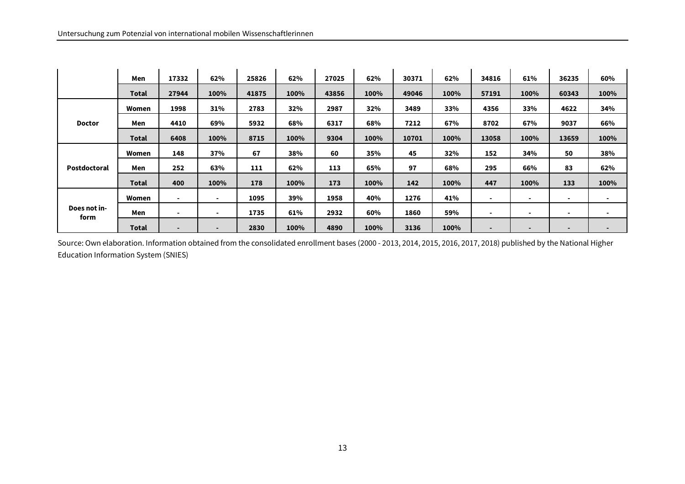|               | Men          | 17332 | 62%                      | 25826 | 62%  | 27025 | 62%  | 30371 | 62%  | 34816 | 61%            | 36235 | 60%            |
|---------------|--------------|-------|--------------------------|-------|------|-------|------|-------|------|-------|----------------|-------|----------------|
|               | <b>Total</b> | 27944 | 100%                     | 41875 | 100% | 43856 | 100% | 49046 | 100% | 57191 | 100%           | 60343 | 100%           |
|               | Women        | 1998  | 31%                      | 2783  | 32%  | 2987  | 32%  | 3489  | 33%  | 4356  | 33%            | 4622  | 34%            |
| <b>Doctor</b> | Men          | 4410  | 69%                      | 5932  | 68%  | 6317  | 68%  | 7212  | 67%  | 8702  | 67%            | 9037  | 66%            |
|               | <b>Total</b> | 6408  | 100%                     | 8715  | 100% | 9304  | 100% | 10701 | 100% | 13058 | 100%           | 13659 | 100%           |
| Postdoctoral  | Women        | 148   | 37%                      | 67    | 38%  | 60    | 35%  | 45    | 32%  | 152   | 34%            | 50    | 38%            |
|               | Men          | 252   | 63%                      | 111   | 62%  | 113   | 65%  | 97    | 68%  | 295   | 66%            | 83    | 62%            |
|               | <b>Total</b> | 400   | 100%                     | 178   | 100% | 173   | 100% | 142   | 100% | 447   | 100%           | 133   | 100%           |
|               | Women        | ۰     | $\blacksquare$           | 1095  | 39%  | 1958  | 40%  | 1276  | 41%  | ۰     | $\blacksquare$ | ٠     |                |
| Does not in-  | Men          | ۰     | $\blacksquare$           | 1735  | 61%  | 2932  | 60%  | 1860  | 59%  | ۰     | $\blacksquare$ | $\,$  | $\blacksquare$ |
| form          | <b>Total</b> |       | $\overline{\phantom{0}}$ | 2830  | 100% | 4890  | 100% | 3136  | 100% | ٠     |                | -     |                |

Source: Own elaboration. Information obtained from the consolidated enrollment bases (2000 - 2013, 2014, 2015, 2016, 2017, 2018) published by the National Higher Education Information System (SNIES)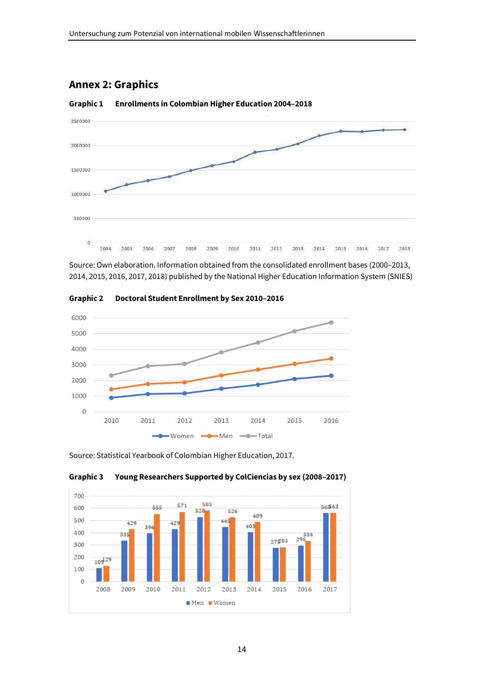## **Annex 2: Graphics**



**Graphic 1 Enrollments in Colombian Higher Education 2004–2018** 

Source: Own elaboration. Information obtained from the consolidated enrollment bases (2000–2013, 2014, 2015, 2016, 2017, 2018) published by the National Higher Education Information System (SNIES)



**Graphic 2 Doctoral Student Enrollment by Sex 2010–2016** 

Source: Statistical Yearbook of Colombian Higher Education, 2017.



#### **Graphic 3 Young Researchers Supported by ColCiencias by sex (2008–2017)**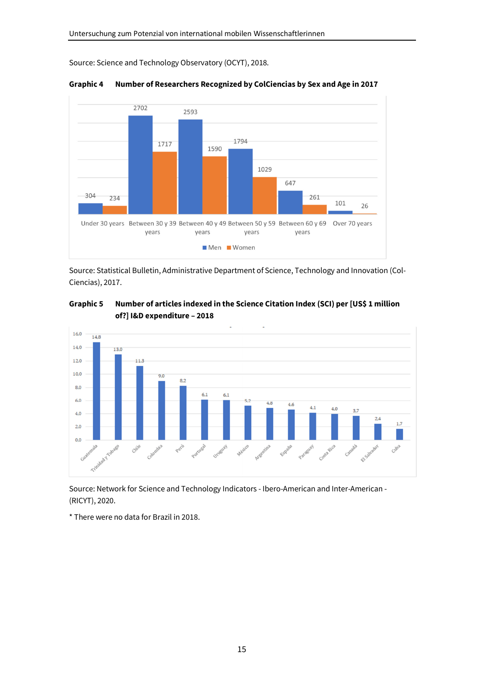Source: Science and Technology Observatory (OCYT), 2018.



**Graphic 4 Number of Researchers Recognized by ColCiencias by Sex and Age in 2017** 

Source: Statistical Bulletin, Administrative Department of Science, Technology and Innovation (Col-Ciencias), 2017.





Source: Network for Science and Technology Indicators - Ibero-American and Inter-American - (RICYT), 2020.

\* There were no data for Brazil in 2018.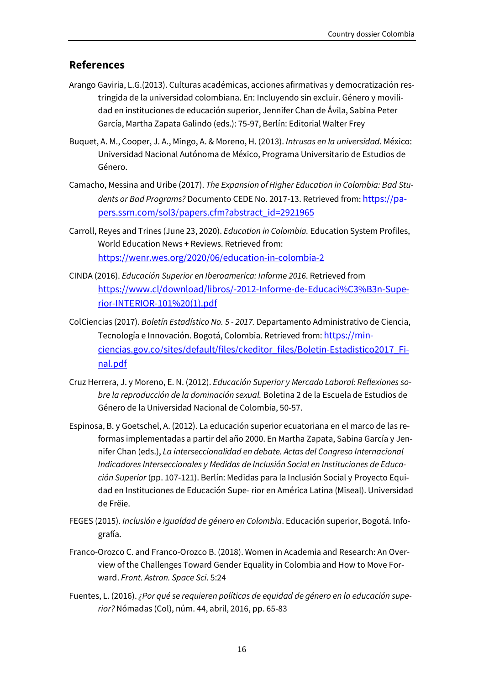#### **References**

- Arango Gaviria, L.G.(2013). Culturas académicas, acciones afirmativas y democratización restringida de la universidad colombiana. En: Incluyendo sin excluir. Género y movilidad en instituciones de educación superior, Jennifer Chan de Ávila, Sabina Peter García, Martha Zapata Galindo (eds.): 75-97, Berlín: Editorial Walter Frey
- Buquet, A. M., Cooper, J. A., Mingo, A. & Moreno, H. (2013). *Intrusas en la universidad.* México: Universidad Nacional Autónoma de México, Programa Universitario de Estudios de Género.
- Camacho, Messina and Uribe (2017). *The Expansion of Higher Education in Colombia: Bad Stu*dents or Bad Programs? Documento CEDE No. 2017-13. Retrieved from: https://papers.ssrn.com/sol3/papers.cfm?abstract\_id=2921965
- Carroll, Reyes and Trines (June 23, 2020). *Education in Colombia.* Education System Profiles, World Education News + Reviews. Retrieved from: https://wenr.wes.org/2020/06/education-in-colombia-2
- CINDA (2016). *Educación Superior en Iberoamerica: Informe 2016*. Retrieved from https://www.cl/download/libros/-2012-Informe-de-Educaci%C3%B3n-Superior-INTERIOR-101%20(1).pdf
- ColCiencias (2017). *Boletín Estadístico No. 5 2017.* Departamento Administrativo de Ciencia, Tecnología e Innovación. Bogotá, Colombia. Retrieved from: https://minciencias.gov.co/sites/default/files/ckeditor\_files/Boletin-Estadistico2017\_Final.pdf
- Cruz Herrera, J. y Moreno, E. N. (2012). *Educación Superior y Mercado Laboral: Reflexiones sobre la reproducción de la dominación sexual.* Boletina 2 de la Escuela de Estudios de Género de la Universidad Nacional de Colombia, 50-57.
- Espinosa, B. y Goetschel, A. (2012). La educación superior ecuatoriana en el marco de las reformas implementadas a partir del año 2000. En Martha Zapata, Sabina García y Jennifer Chan (eds.), *La interseccionalidad en debate. Actas del Congreso Internacional Indicadores Interseccionales y Medidas de Inclusión Social en Instituciones de Educación Superior* (pp. 107-121). Berlín: Medidas para la Inclusión Social y Proyecto Equidad en Instituciones de Educación Supe- rior en América Latina (Miseal). Universidad de Frëie.
- FEGES (2015). *Inclusión e igualdad de género en Colombia*. Educación superior, Bogotá. Infografía.
- Franco-Orozco C. and Franco-Orozco B. (2018). Women in Academia and Research: An Overview of the Challenges Toward Gender Equality in Colombia and How to Move Forward. *Front. Astron. Space Sci*. 5:24
- Fuentes, L. (2016). *¿Por qué se requieren políticas de equidad de género en la educación superior?* Nómadas (Col), núm. 44, abril, 2016, pp. 65-83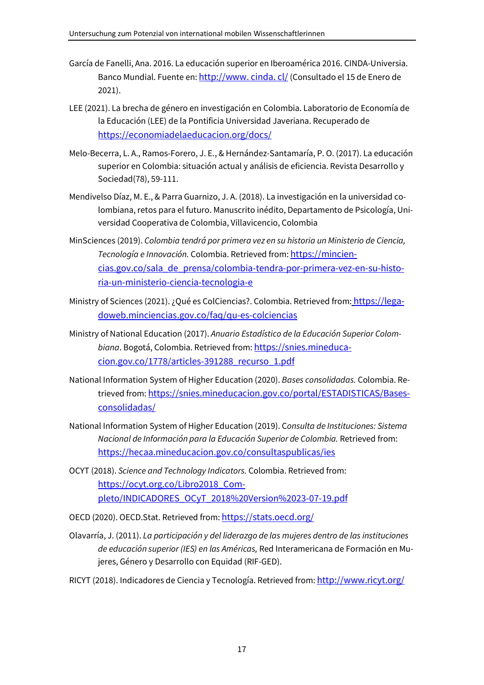- García de Fanelli, Ana. 2016. La educación superior en Iberoamérica 2016. CINDA-Universia. Banco Mundial. Fuente en: http://www. cinda. cl/ (Consultado el 15 de Enero de 2021).
- LEE (2021). La brecha de género en investigación en Colombia. Laboratorio de Economía de la Educación (LEE) de la Pontificia Universidad Javeriana. Recuperado de https://economiadelaeducacion.org/docs/
- Melo-Becerra, L. A., Ramos-Forero, J. E., & Hernández-Santamaría, P. O. (2017). La educación superior en Colombia: situación actual y análisis de eficiencia. Revista Desarrollo y Sociedad(78), 59-111.
- Mendivelso Díaz, M. E., & Parra Guarnizo, J. A. (2018). La investigación en la universidad colombiana, retos para el futuro. Manuscrito inédito, Departamento de Psicología, Universidad Cooperativa de Colombia, Villavicencio, Colombia
- MinSciences (2019). *Colombia tendrá por primera vez en su historia un Ministerio de Ciencia, Tecnología e Innovación.* Colombia. Retrieved from: https://minciencias.gov.co/sala\_de\_prensa/colombia-tendra-por-primera-vez-en-su-historia-un-ministerio-ciencia-tecnologia-e
- Ministry of Sciences (2021). ¿Qué es ColCiencias?. Colombia. Retrieved from: https://legadoweb.minciencias.gov.co/faq/qu-es-colciencias
- Ministry of National Education (2017). *Anuario Estadístico de la Educación Superior Colombiana*. Bogotá, Colombia. Retrieved from: https://snies.mineducacion.gov.co/1778/articles-391288\_recurso\_1.pdf
- National Information System of Higher Education (2020). *Bases consolidadas.* Colombia. Retrieved from: https://snies.mineducacion.gov.co/portal/ESTADISTICAS/Basesconsolidadas/
- National Information System of Higher Education (2019). C*onsulta de Instituciones: Sistema Nacional de Información para la Educación Superior de Colombia.* Retrieved from: https://hecaa.mineducacion.gov.co/consultaspublicas/ies
- OCYT (2018). *Science and Technology Indicators.* Colombia. Retrieved from: https://ocyt.org.co/Libro2018 Completo/INDICADORES\_OCyT\_2018%20Version%2023-07-19.pdf
- OECD (2020). OECD.Stat. Retrieved from: https://stats.oecd.org/
- Olavarría, J. (2011). *La participación y del liderazgo de las mujeres dentro de las instituciones de educación superior (IES) en las Américas,* Red Interamericana de Formación en Mujeres, Género y Desarrollo con Equidad (RIF-GED).
- RICYT (2018). Indicadores de Ciencia y Tecnología. Retrieved from: http://www.ricyt.org/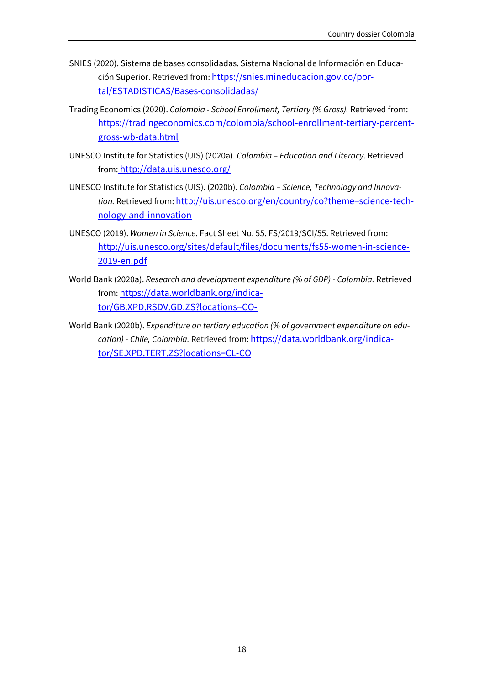- SNIES (2020). Sistema de bases consolidadas. Sistema Nacional de Información en Educación Superior. Retrieved from: https://snies.mineducacion.gov.co/portal/ESTADISTICAS/Bases-consolidadas/
- Trading Economics (2020). *Colombia School Enrollment, Tertiary (% Gross).* Retrieved from: https://tradingeconomics.com/colombia/school-enrollment-tertiary-percentgross-wb-data.html
- UNESCO Institute for Statistics (UIS) (2020a). *Colombia Education and Literacy*. Retrieved from: http://data.uis.unesco.org/
- UNESCO Institute for Statistics (UIS). (2020b). *Colombia Science, Technology and Innova*tion. Retrieved from: http://uis.unesco.org/en/country/co?theme=science-technology-and-innovation
- UNESCO (2019). *Women in Science.* Fact Sheet No. 55. FS/2019/SCI/55. Retrieved from: http://uis.unesco.org/sites/default/files/documents/fs55-women-in-science-2019-en.pdf
- World Bank (2020a). *Research and development expenditure (% of GDP) Colombia.* Retrieved from: https://data.worldbank.org/indicator/GB.XPD.RSDV.GD.ZS?locations=CO-
- World Bank (2020b). *Expenditure on tertiary education (% of government expenditure on education) - Chile, Colombia.* Retrieved from: https://data.worldbank.org/indicator/SE.XPD.TERT.ZS?locations=CL-CO